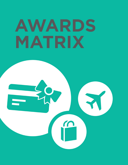## AWARDS MATRIX